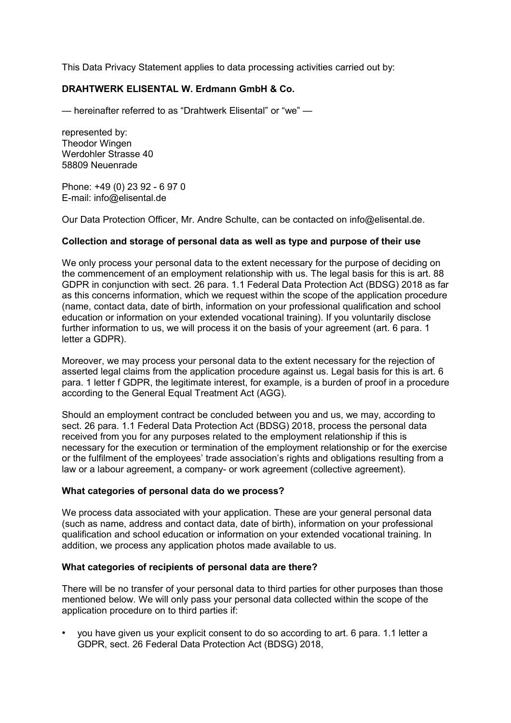This Data Privacy Statement applies to data processing activities carried out by:

# **DRAHTWERK ELISENTAL W. Erdmann GmbH & Co.**

— hereinafter referred to as "Drahtwerk Elisental" or "we" —

represented by: Theodor Wingen Werdohler Strasse 40 58809 Neuenrade

Phone: +49 (0) 23 92 - 6 97 0 E-mail: info@elisental.de

Our Data Protection Officer, Mr. Andre Schulte, can be contacted on info@elisental.de.

#### **Collection and storage of personal data as well as type and purpose of their use**

We only process your personal data to the extent necessary for the purpose of deciding on the commencement of an employment relationship with us. The legal basis for this is art. 88 GDPR in conjunction with sect. 26 para. 1.1 Federal Data Protection Act (BDSG) 2018 as far as this concerns information, which we request within the scope of the application procedure (name, contact data, date of birth, information on your professional qualification and school education or information on your extended vocational training). If you voluntarily disclose further information to us, we will process it on the basis of your agreement (art. 6 para. 1 letter a GDPR).

Moreover, we may process your personal data to the extent necessary for the rejection of asserted legal claims from the application procedure against us. Legal basis for this is art. 6 para. 1 letter f GDPR, the legitimate interest, for example, is a burden of proof in a procedure according to the General Equal Treatment Act (AGG).

Should an employment contract be concluded between you and us, we may, according to sect. 26 para. 1.1 Federal Data Protection Act (BDSG) 2018, process the personal data received from you for any purposes related to the employment relationship if this is necessary for the execution or termination of the employment relationship or for the exercise or the fulfilment of the employees' trade association's rights and obligations resulting from a law or a labour agreement, a company- or work agreement (collective agreement).

#### **What categories of personal data do we process?**

We process data associated with your application. These are your general personal data (such as name, address and contact data, date of birth), information on your professional qualification and school education or information on your extended vocational training. In addition, we process any application photos made available to us.

# **What categories of recipients of personal data are there?**

There will be no transfer of your personal data to third parties for other purposes than those mentioned below. We will only pass your personal data collected within the scope of the application procedure on to third parties if:

• you have given us your explicit consent to do so according to art. 6 para. 1.1 letter a GDPR, sect. 26 Federal Data Protection Act (BDSG) 2018,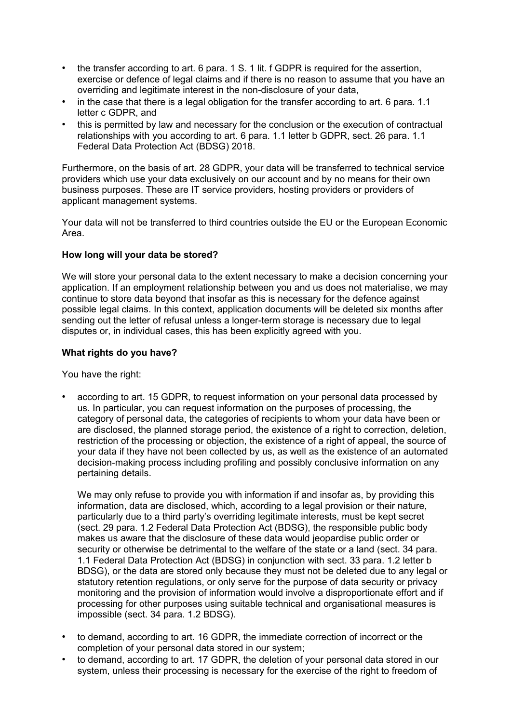- the transfer according to art. 6 para. 1 S. 1 lit. f GDPR is required for the assertion, exercise or defence of legal claims and if there is no reason to assume that you have an overriding and legitimate interest in the non-disclosure of your data,
- in the case that there is a legal obligation for the transfer according to art. 6 para. 1.1 letter c GDPR, and
- this is permitted by law and necessary for the conclusion or the execution of contractual relationships with you according to art. 6 para. 1.1 letter b GDPR, sect. 26 para. 1.1 Federal Data Protection Act (BDSG) 2018.

Furthermore, on the basis of art. 28 GDPR, your data will be transferred to technical service providers which use your data exclusively on our account and by no means for their own business purposes. These are IT service providers, hosting providers or providers of applicant management systems.

Your data will not be transferred to third countries outside the EU or the European Economic Area.

# **How long will your data be stored?**

We will store your personal data to the extent necessary to make a decision concerning your application. If an employment relationship between you and us does not materialise, we may continue to store data beyond that insofar as this is necessary for the defence against possible legal claims. In this context, application documents will be deleted six months after sending out the letter of refusal unless a longer-term storage is necessary due to legal disputes or, in individual cases, this has been explicitly agreed with you.

# **What rights do you have?**

You have the right:

• according to art. 15 GDPR, to request information on your personal data processed by us. In particular, you can request information on the purposes of processing, the category of personal data, the categories of recipients to whom your data have been or are disclosed, the planned storage period, the existence of a right to correction, deletion, restriction of the processing or objection, the existence of a right of appeal, the source of your data if they have not been collected by us, as well as the existence of an automated decision-making process including profiling and possibly conclusive information on any pertaining details.

We may only refuse to provide you with information if and insofar as, by providing this information, data are disclosed, which, according to a legal provision or their nature, particularly due to a third party's overriding legitimate interests, must be kept secret (sect. 29 para. 1.2 Federal Data Protection Act (BDSG), the responsible public body makes us aware that the disclosure of these data would jeopardise public order or security or otherwise be detrimental to the welfare of the state or a land (sect. 34 para. 1.1 Federal Data Protection Act (BDSG) in conjunction with sect. 33 para. 1.2 letter b BDSG), or the data are stored only because they must not be deleted due to any legal or statutory retention regulations, or only serve for the purpose of data security or privacy monitoring and the provision of information would involve a disproportionate effort and if processing for other purposes using suitable technical and organisational measures is impossible (sect. 34 para. 1.2 BDSG).

- to demand, according to art. 16 GDPR, the immediate correction of incorrect or the completion of your personal data stored in our system;
- to demand, according to art. 17 GDPR, the deletion of your personal data stored in our system, unless their processing is necessary for the exercise of the right to freedom of